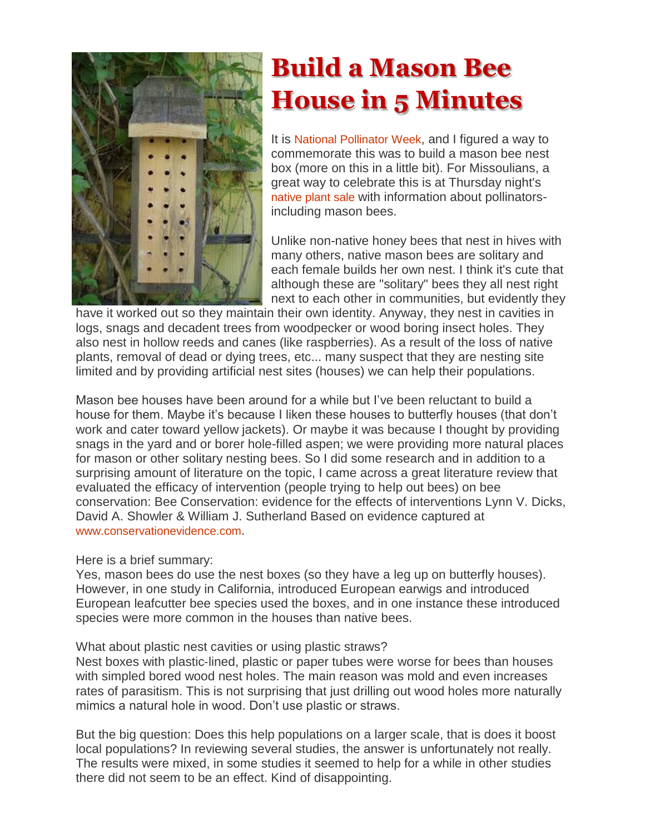

# **Build a Mason Bee House in 5 Minutes**

It is [National Pollinator Week](http://www.pollinator.org/), and I figured a way to commemorate this was to build a mason bee nest box (more on this in a little bit). For Missoulians, a great way to celebrate this is at Thursday night's [native plant sale](http://montanawildlifegardener.blogspot.com/2010/06/native-plant-sale-and-insect-workshop.html) with information about pollinatorsincluding mason bees.

Unlike non-native honey bees that nest in hives with many others, native mason bees are solitary and each female builds her own nest. I think it's cute that although these are "solitary" bees they all nest right next to each other in communities, but evidently they

have it worked out so they maintain their own identity. Anyway, they nest in cavities in logs, snags and decadent trees from woodpecker or wood boring insect holes. They also nest in hollow reeds and canes (like raspberries). As a result of the loss of native plants, removal of dead or dying trees, etc... many suspect that they are nesting site limited and by providing artificial nest sites (houses) we can help their populations.

Mason bee houses have been around for a while but I've been reluctant to build a house for them. Maybe it's because I liken these houses to butterfly houses (that don't work and cater toward yellow jackets). Or maybe it was because I thought by providing snags in the yard and or borer hole-filled aspen; we were providing more natural places for mason or other solitary nesting bees. So I did some research and in addition to a surprising amount of literature on the topic, I came across a great literature review that evaluated the efficacy of intervention (people trying to help out bees) on bee conservation: Bee Conservation: evidence for the effects of interventions Lynn V. Dicks, David A. Showler & William J. Sutherland Based on evidence captured at [www.conservationevidence.com](http://www.conservationevidence.com/).

Here is a brief summary:

Yes, mason bees do use the nest boxes (so they have a leg up on butterfly houses). However, in one study in California, introduced European earwigs and introduced European leafcutter bee species used the boxes, and in one instance these introduced species were more common in the houses than native bees.

What about plastic nest cavities or using plastic straws?

Nest boxes with plastic‐lined, plastic or paper tubes were worse for bees than houses with simpled bored wood nest holes. The main reason was mold and even increases rates of parasitism. This is not surprising that just drilling out wood holes more naturally mimics a natural hole in wood. Don't use plastic or straws.

But the big question: Does this help populations on a larger scale, that is does it boost local populations? In reviewing several studies, the answer is unfortunately not really. The results were mixed, in some studies it seemed to help for a while in other studies there did not seem to be an effect. Kind of disappointing.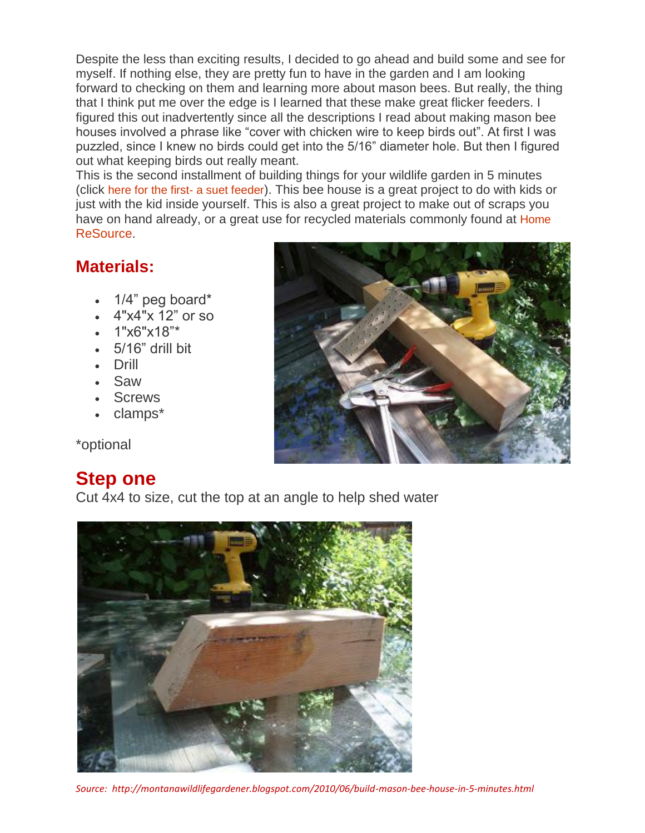Despite the less than exciting results, I decided to go ahead and build some and see for myself. If nothing else, they are pretty fun to have in the garden and I am looking forward to checking on them and learning more about mason bees. But really, the thing that I think put me over the edge is I learned that these make great flicker feeders. I figured this out inadvertently since all the descriptions I read about making mason bee houses involved a phrase like "cover with chicken wire to keep birds out". At first I was puzzled, since I knew no birds could get into the 5/16" diameter hole. But then I figured out what keeping birds out really meant.

This is the second installment of building things for your wildlife garden in 5 minutes (click [here for the first-](http://montanawildlifegardener.blogspot.com/2009/08/build-suet-feeder-in-five-minutes.html) a suet feeder). This bee house is a great project to do with kids or just with the kid inside yourself. This is also a great project to make out of scraps you have on hand already, or a great use for recycled materials commonly found at Home [ReSource.](http://www.homeresource.org/)

#### **Materials:**

- 1/4" peg board\*
- 4"x4"x 12" or so
- $\cdot$  1"x6"x18"\*
- $-5/16"$  drill bit
- Drill
- Saw
- Screws
- clamps\*

\*optional

### **Step one**

Cut 4x4 to size, cut the top at an angle to help shed water







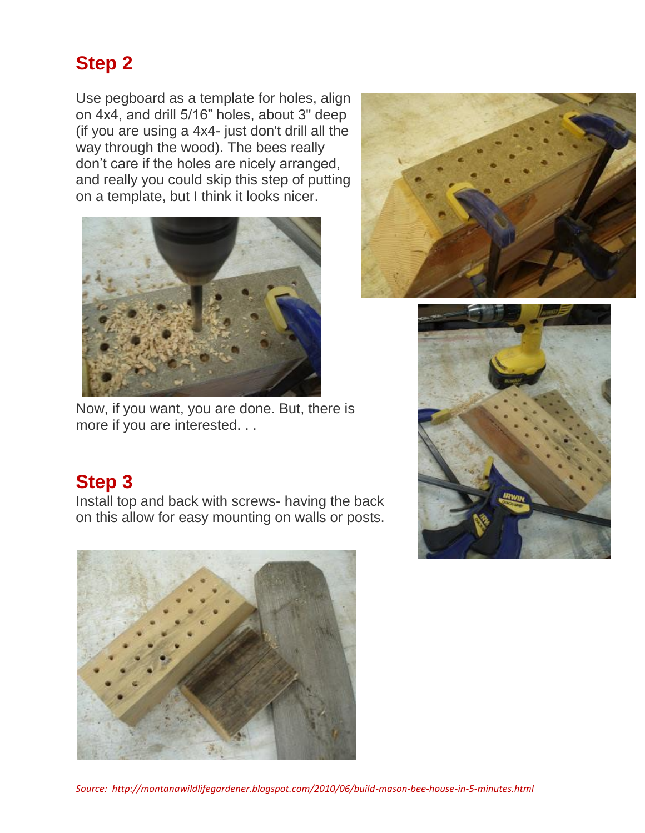## **Step 2**

Use pegboard as a template for holes, align on 4x4, and drill 5/16" holes, about 3" deep (if you are using a 4x4- just don't drill all the way through the wood). The bees really don't care if the holes are nicely arranged, and really you could skip this step of putting on a template, but I think it looks nicer.



Now, if you want, you are done. But, there is more if you are interested. . .





### **Step 3**

Install top and back with screws- having the back on this allow for easy mounting on walls or posts.